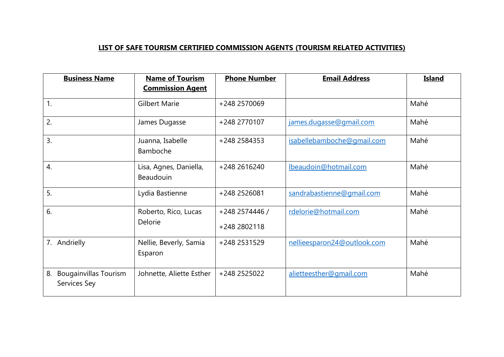## **LIST OF SAFE TOURISM CERTIFIED COMMISSION AGENTS (TOURISM RELATED ACTIVITIES)**

| <b>Business Name</b>                               | <b>Name of Tourism</b><br><b>Commission Agent</b> | <b>Phone Number</b>            | <b>Email Address</b>        | <b>Island</b> |
|----------------------------------------------------|---------------------------------------------------|--------------------------------|-----------------------------|---------------|
| 1.                                                 | <b>Gilbert Marie</b>                              | +248 2570069                   |                             | Mahé          |
| 2.                                                 | James Dugasse                                     | +248 2770107                   | james.dugasse@gmail.com     | Mahé          |
| 3.                                                 | Juanna, Isabelle<br>Bamboche                      | +248 2584353                   | isabellebamboche@qmail.com  | Mahé          |
| $\overline{4}$ .                                   | Lisa, Agnes, Daniella,<br><b>Beaudouin</b>        | +248 2616240                   | lbeaudoin@hotmail.com       | Mahé          |
| 5.                                                 | Lydia Bastienne                                   | +248 2526081                   | sandrabastienne@gmail.com   | Mahé          |
| 6.                                                 | Roberto, Rico, Lucas<br>Delorie                   | +248 2574446 /<br>+248 2802118 | rdelorie@hotmail.com        | Mahé          |
| 7.<br>Andrielly                                    | Nellie, Beverly, Samia<br>Esparon                 | +248 2531529                   | nellieesparon24@outlook.com | Mahé          |
| 8.<br><b>Bougainvillas Tourism</b><br>Services Sey | Johnette, Aliette Esther                          | +248 2525022                   | alietteesther@gmail.com     | Mahé          |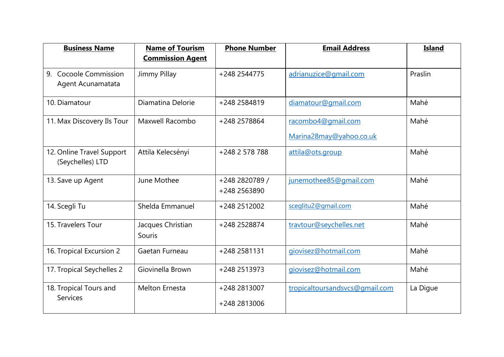| <b>Business Name</b>                          | <b>Name of Tourism</b><br><b>Commission Agent</b> | <b>Phone Number</b>            | <b>Email Address</b>                          | <b>Island</b> |
|-----------------------------------------------|---------------------------------------------------|--------------------------------|-----------------------------------------------|---------------|
| 9.<br>Cocoole Commission<br>Agent Acunamatata | Jimmy Pillay                                      | +248 2544775                   | adrianuzice@gmail.com                         | Praslin       |
| 10. Diamatour                                 | Diamatina Delorie                                 | +248 2584819                   | diamatour@gmail.com                           | Mahé          |
| 11. Max Discovery Ils Tour                    | Maxwell Racombo                                   | +248 2578864                   | racombo4@gmail.com<br>Marina28may@yahoo.co.uk | Mahé          |
| 12. Online Travel Support<br>(Seychelles) LTD | Attila Kelecsényi                                 | +248 2 578 788                 | attila@ots.group                              | Mahé          |
| 13. Save up Agent                             | June Mothee                                       | +248 2820789 /<br>+248 2563890 | junemothee85@qmail.com                        | Mahé          |
| 14. Scegli Tu                                 | Shelda Emmanuel                                   | +248 2512002                   | sceglitu2@gmail.com                           | Mahé          |
| 15. Travelers Tour                            | Jacques Christian<br>Souris                       | +248 2528874                   | travtour@seychelles.net                       | Mahé          |
| 16. Tropical Excursion 2                      | Gaetan Furneau                                    | +248 2581131                   | giovisez@hotmail.com                          | Mahé          |
| 17. Tropical Seychelles 2                     | Giovinella Brown                                  | +248 2513973                   | giovisez@hotmail.com                          | Mahé          |
| 18. Tropical Tours and<br><b>Services</b>     | <b>Melton Ernesta</b>                             | +248 2813007<br>+248 2813006   | tropicaltoursandsvcs@gmail.com                | La Digue      |